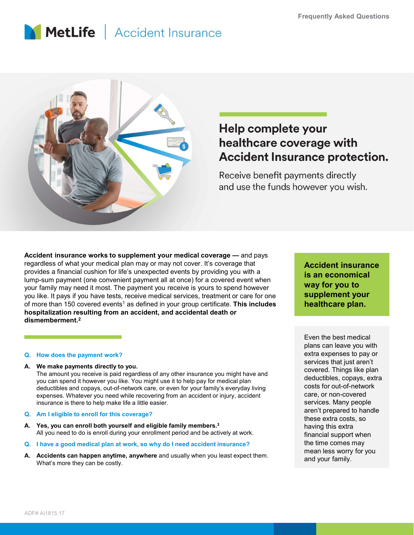# MetLife | Accident Insurance



## Help complete your healthcare coverage with **Accident Insurance protection.**

Considered the payment of the payment work and the payment of the payer of the payment of the payment of the payment of the payment of the payment (one convenient payment all at once) for a coverage that provides a financi Accident insurance works to supplement your medical coverage — and pregardless of what your medical plan may or may not cover. It's coverage that<br>provides a financial cushion for life's unexpected events by providing you w The amount you receive is applement your medical coverage — and pays<br>
ridess of what your medical plan may or may on any other cover. It's coverage that the among the control insurance<br>
The among the control insurance of t Accident insurance works to supplement your medical coverage — and pays<br>regardless of what your medical plan may or may not cover. It's coverage that<br>provides a financial cushion for life's unexpected events by providing provides a financial customic for the is unepected events by providing you with a **source of the solution** (one convenient payment all at once) for a covered event when<br>you like, it pays if you have tests, receive medical Now I the Sourcest and those them the same of the state of the state of the state it best in the state of the state of the state is any of the state of the state in the state of the state of the state is the state of the s Accident insurance works to supplement your medical coverage — and pays regardless of what your medical plan may or may not cover. It's coverage that provides a financial cushion for life's unexpected events by providing you with a lump-sum payment (one convenient payment all at once) for a covered event when your family may need it most. The payment you receive is yours to spend however you like. It pays if you have tests, receive medical services, treatment or care for one of more than 150 covered events<sup>1</sup> as defined in your group certificate. This includes **healthca** hospitalization resulting from an accident, and accidental death or dismemberment.2

you can spend it however you like. You might use it to help pay for medical plan deductibles and copays, out-of-network care, or even for your family's everyday living expenses. Whatever you need while recovering from an accident or injury, accident insurance is there to help make life a little easier.

- A. Yes, you can enroll both yourself and eligible family members.<sup>3</sup> All you need to do is enroll during your enrollment period and be actively at work.
- 
- What's more they can be costly.

Accident insurance is an economical way for you to supplement your healthcare plan.

Even the best medical plans can leave you with extra expenses to pay or services that just aren't covered. Things like plan deductibles, copays, extra costs for out-of-network care, or non-covered services. Many people aren't prepared to handle these extra costs, so having this extra financial support when the time comes may mean less worry for you and your family.